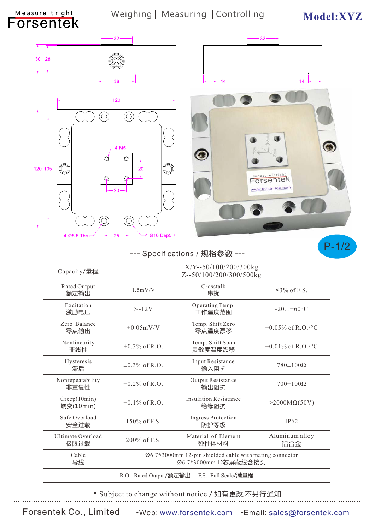## Weighing || Measuring || Controlling Model:XYZ



Measure it right





## --- Specifications / 规格参数 --- **CONTENS P-1/2**

| Capacity/量程                                   | X/Y--50/100/200/300kg<br>Z--50/100/200/300/500kg                                              |                                      |                         |  |
|-----------------------------------------------|-----------------------------------------------------------------------------------------------|--------------------------------------|-------------------------|--|
| Rated Output<br>额定输出                          | 1.5mV/V                                                                                       | Crosstalk<br>串扰                      | $\leq$ 3% of F.S.       |  |
| Excitation<br>激励电压                            | $3 - 12V$                                                                                     | Operating Temp.<br>工作温度范围            | $-20+60$ °C             |  |
| Zero Balance<br>零点输出                          | $\pm 0.05$ mV/V                                                                               | Temp. Shift Zero<br>零点温度漂移           | $\pm 0.05\%$ of R.O./°C |  |
| Nonlinearity<br>非线性                           | $\pm 0.3\%$ of R.O.                                                                           | Temp. Shift Span<br>灵敏度温度漂移          | $\pm 0.01\%$ of R.O./°C |  |
| Hysteresis<br>滞后                              | $\pm 0.3\%$ of R.O.                                                                           | Input Resistance<br>输入阻抗             | $780\pm100\Omega$       |  |
| Nonrepeatability<br>非重复性                      | $\pm 0.2\%$ of R.O.                                                                           | Output Resistance<br>输出阻抗            | $700\pm100\Omega$       |  |
| Creep(10min)<br>蠕变(10min)                     | $\pm 0.1\%$ of R.O.                                                                           | <b>Insulation Resistance</b><br>绝缘阻抗 | $>2000M\Omega(50V)$     |  |
| Safe Overload<br>安全过载                         | 150% of F.S.                                                                                  | <b>Ingress Protection</b><br>防护等级    | IP62                    |  |
| Ultimate Overload<br>极限过载                     | $200\%$ of F.S.                                                                               | Material of Element<br>弹性体材料         | Aluminum alloy<br>铝合金   |  |
| Cable<br>导线                                   | $\varnothing$ 6.7*3000mm 12-pin shielded cable with mating connector<br>Ø6.7*3000mm 12芯屏蔽线含接头 |                                      |                         |  |
| F.S.=Full Scale/满量程<br>R.O.=Rated Output/额定输出 |                                                                                               |                                      |                         |  |

• Subject to change without notice / 如有更改,不另行通知